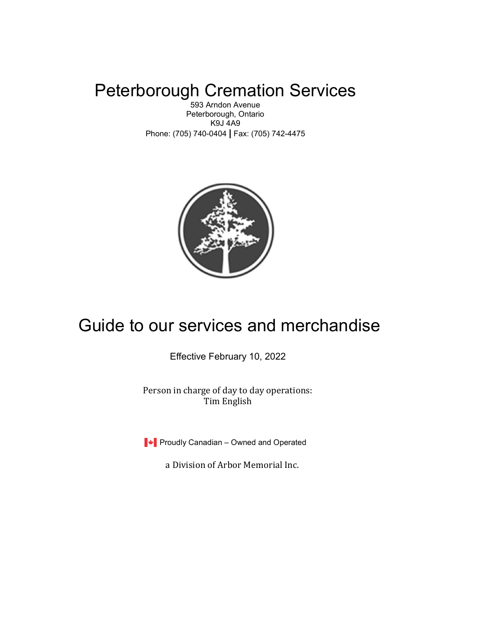# Peterborough Cremation Services

593 Arndon Avenue Peterborough, Ontario K9J 4A9 Phone: (705) 740-0404 | Fax: (705) 742-4475



# Guide to our services and merchandise

Effective February 10, 2022

Person in charge of day to day operations: Tim English

**Proudly Canadian – Owned and Operated** 

a Division of Arbor Memorial Inc.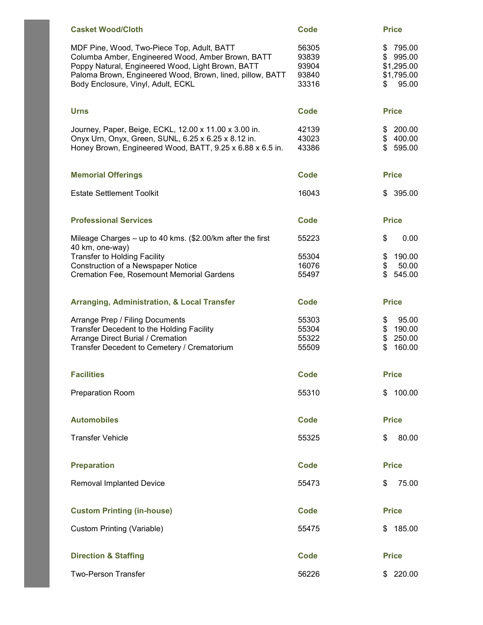| <b>Casket Wood/Cloth</b>                                                                                                                                                                                                                                | <b>Code</b>                               | <b>Price</b>                                                             |
|---------------------------------------------------------------------------------------------------------------------------------------------------------------------------------------------------------------------------------------------------------|-------------------------------------------|--------------------------------------------------------------------------|
| MDF Pine, Wood, Two-Piece Top, Adult, BATT<br>Columba Amber, Engineered Wood, Amber Brown, BATT<br>Poppy Natural, Engineered Wood, Light Brown, BATT<br>Paloma Brown, Engineered Wood, Brown, lined, pillow, BATT<br>Body Enclosure, Vinyl, Adult, ECKL | 56305<br>93839<br>93904<br>93840<br>33316 | \$<br>795.00<br>995.00<br>\$<br>\$1,295.00<br>\$1,795.00<br>95.00<br>\$. |
| <b>Urns</b>                                                                                                                                                                                                                                             | <b>Code</b>                               | <b>Price</b>                                                             |
| Journey, Paper, Beige, ECKL, 12.00 x 11.00 x 3.00 in.<br>Onyx Urn, Onyx, Green, SUNL, 6.25 x 6.25 x 8.12 in.<br>Honey Brown, Engineered Wood, BATT, 9.25 x 6.88 x 6.5 in.                                                                               | 42139<br>43023<br>43386                   | 200.00<br>\$<br>\$400.00<br>$\mathbb{S}$<br>595.00                       |
| <b>Memorial Offerings</b>                                                                                                                                                                                                                               | Code                                      | <b>Price</b>                                                             |
| <b>Estate Settlement Toolkit</b>                                                                                                                                                                                                                        | 16043                                     | \$395.00                                                                 |
| <b>Professional Services</b>                                                                                                                                                                                                                            | <b>Code</b>                               | <b>Price</b>                                                             |
| Mileage Charges - up to 40 kms. (\$2.00/km after the first<br>40 km, one-way)                                                                                                                                                                           | 55223                                     | \$<br>0.00                                                               |
| <b>Transfer to Holding Facility</b><br>Construction of a Newspaper Notice                                                                                                                                                                               | 55304<br>16076                            | 190.00<br>\$<br>\$<br>50.00                                              |
| <b>Cremation Fee, Rosemount Memorial Gardens</b>                                                                                                                                                                                                        | 55497                                     | \$<br>545.00                                                             |
| <b>Arranging, Administration, &amp; Local Transfer</b>                                                                                                                                                                                                  | <b>Code</b>                               | <b>Price</b>                                                             |
| Arrange Prep / Filing Documents<br>Transfer Decedent to the Holding Facility                                                                                                                                                                            | 55303<br>55304                            | \$<br>95.00<br>\$<br>190.00                                              |
| Arrange Direct Burial / Cremation<br>Transfer Decedent to Cemetery / Crematorium                                                                                                                                                                        | 55322<br>55509                            | \$<br>250.00<br>\$<br>160.00                                             |
| <b>Facilities</b>                                                                                                                                                                                                                                       | Code                                      | <b>Price</b>                                                             |
| Preparation Room                                                                                                                                                                                                                                        | 55310                                     | 100.00<br>\$                                                             |
| <b>Automobiles</b>                                                                                                                                                                                                                                      | <b>Code</b>                               | <b>Price</b>                                                             |
| <b>Transfer Vehicle</b>                                                                                                                                                                                                                                 | 55325                                     | \$<br>80.00                                                              |
| <b>Preparation</b>                                                                                                                                                                                                                                      | <b>Code</b>                               | <b>Price</b>                                                             |
| <b>Removal Implanted Device</b>                                                                                                                                                                                                                         | 55473                                     | 75.00<br>\$                                                              |
| <b>Custom Printing (in-house)</b>                                                                                                                                                                                                                       | <b>Code</b>                               | <b>Price</b>                                                             |
| Custom Printing (Variable)                                                                                                                                                                                                                              | 55475                                     | 185.00<br>\$                                                             |
| <b>Direction &amp; Staffing</b>                                                                                                                                                                                                                         | <b>Code</b>                               | <b>Price</b>                                                             |
| <b>Two-Person Transfer</b>                                                                                                                                                                                                                              | 56226                                     | \$220.00                                                                 |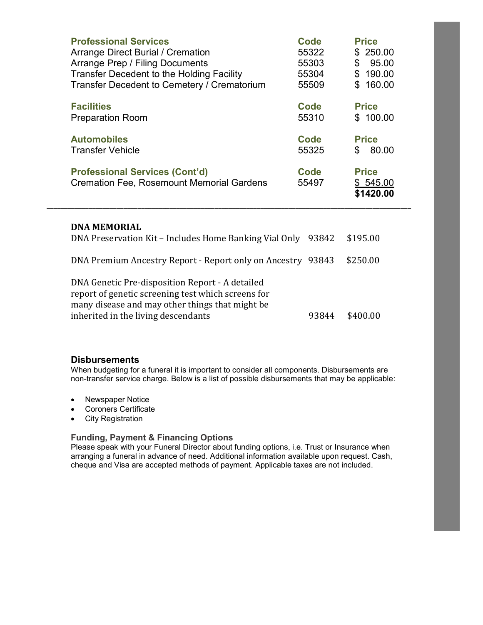| <b>Professional Services</b><br>Arrange Direct Burial / Cremation<br>Arrange Prep / Filing Documents<br>Transfer Decedent to the Holding Facility<br>Transfer Decedent to Cemetery / Crematorium | Code<br>55322<br>55303<br>55304<br>55509 | <b>Price</b><br>250.00<br>\$<br>\$<br>95.00<br>\$<br>190.00<br>160.00<br>\$ |
|--------------------------------------------------------------------------------------------------------------------------------------------------------------------------------------------------|------------------------------------------|-----------------------------------------------------------------------------|
| <b>Facilities</b><br><b>Preparation Room</b>                                                                                                                                                     | Code<br>55310                            | <b>Price</b><br>\$100.00                                                    |
| <b>Automobiles</b><br><b>Transfer Vehicle</b>                                                                                                                                                    | Code<br>55325                            | <b>Price</b><br>80.00<br>\$                                                 |
| <b>Professional Services (Cont'd)</b><br><b>Cremation Fee, Rosemount Memorial Gardens</b>                                                                                                        | <b>Code</b><br>55497                     | <b>Price</b><br>\$545.00<br>\$1420.00                                       |

| <b>DNA MEMORIAL</b><br>DNA Preservation Kit – Includes Home Banking Vial Only                                                                                                                   | 93842 | \$195.00 |
|-------------------------------------------------------------------------------------------------------------------------------------------------------------------------------------------------|-------|----------|
| DNA Premium Ancestry Report - Report only on Ancestry 93843                                                                                                                                     |       | \$250.00 |
| DNA Genetic Pre-disposition Report - A detailed<br>report of genetic screening test which screens for<br>many disease and may other things that might be<br>inherited in the living descendants |       |          |

\_\_\_\_\_\_\_\_\_\_\_\_\_\_\_\_\_\_\_\_\_\_\_\_\_\_\_\_\_\_\_\_\_\_\_\_\_\_\_\_\_\_\_\_\_\_\_\_\_\_\_\_\_\_\_\_\_\_\_\_\_\_\_\_\_\_\_\_\_\_\_\_\_\_\_\_\_\_\_\_\_\_\_\_\_\_\_\_\_\_\_\_\_\_\_\_\_\_\_\_\_\_\_\_

### **Disbursements**

When budgeting for a funeral it is important to consider all components. Disbursements are non-transfer service charge. Below is a list of possible disbursements that may be applicable:

- Newspaper Notice
- Coroners Certificate
- City Registration

### Funding, Payment & Financing Options

Please speak with your Funeral Director about funding options, i.e. Trust or Insurance when arranging a funeral in advance of need. Additional information available upon request. Cash, cheque and Visa are accepted methods of payment. Applicable taxes are not included.